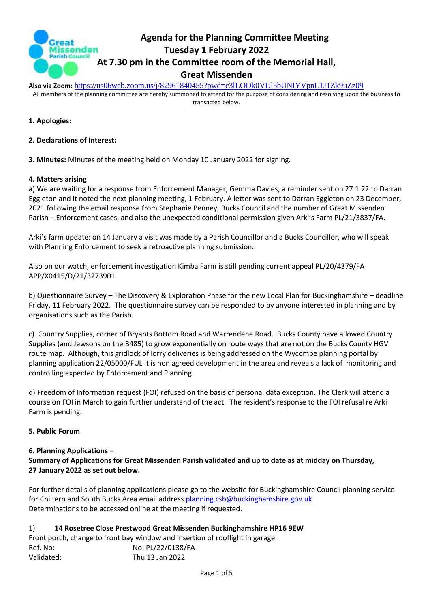

# **Agenda for the Planning Committee Meeting Tuesday 1 February 2022 At 7.30 pm in the Committee room of the Memorial Hall, Great Missenden**

**Also via Zoom:** <https://us06web.zoom.us/j/82961840455?pwd=c3lLODk0VUl5bUNIYVpnL1J1Zk9uZz09>

All members of the planning committee are hereby summoned to attend for the purpose of considering and resolving upon the business to transacted below.

- **1. Apologies:**
- **2. Declarations of Interest:**

**3. Minutes:** Minutes of the meeting held on Monday 10 January 2022 for signing.

#### **4. Matters arising**

**a**) We are waiting for a response from Enforcement Manager, Gemma Davies, a reminder sent on 27.1.22 to Darran Eggleton and it noted the next planning meeting, 1 February. A letter was sent to Darran Eggleton on 23 December, 2021 following the email response from Stephanie Penney, Bucks Council and the number of Great Missenden Parish – Enforcement cases, and also the unexpected conditional permission given Arki's Farm PL/21/3837/FA.

Arki's farm update: on 14 January a visit was made by a Parish Councillor and a Bucks Councillor, who will speak with Planning Enforcement to seek a retroactive planning submission.

Also on our watch, enforcement investigation Kimba Farm is still pending current appeal PL/20/4379/FA APP/X0415/D/21/3273901.

b) Questionnaire Survey – The Discovery & Exploration Phase for the new Local Plan for Buckinghamshire – deadline Friday, 11 February 2022. The questionnaire survey can be responded to by anyone interested in planning and by organisations such as the Parish.

c) Country Supplies, corner of Bryants Bottom Road and Warrendene Road. Bucks County have allowed Country Supplies (and Jewsons on the B485) to grow exponentially on route ways that are not on the Bucks County HGV route map. Although, this gridlock of lorry deliveries is being addressed on the Wycombe planning portal by planning application 22/05000/FUL it is non agreed development in the area and reveals a lack of monitoring and controlling expected by Enforcement and Planning.

d) Freedom of Information request (FOI) refused on the basis of personal data exception. The Clerk will attend a course on FOI in March to gain further understand of the act. The resident's response to the FOI refusal re Arki Farm is pending.

#### **5. Public Forum**

#### **6. Planning Applications** –

**Summary of Applications for Great Missenden Parish validated and up to date as at midday on Thursday, 27 January 2022 as set out below.**

For further details of planning applications please go to the website for Buckinghamshire Council planning service for Chiltern and South Bucks Area email address [planning.csb@buckinghamshire.gov.uk](mailto:planning.csb@buckinghamshire.gov.uk) Determinations to be accessed online at the meeting if requested.

1) **14 Rosetree Close Prestwood Great Missenden Buckinghamshire HP16 9EW** Front porch, change to front bay window and insertion of rooflight in garage Ref. No: No: PL/22/0138/FA Validated: Thu 13 Jan 2022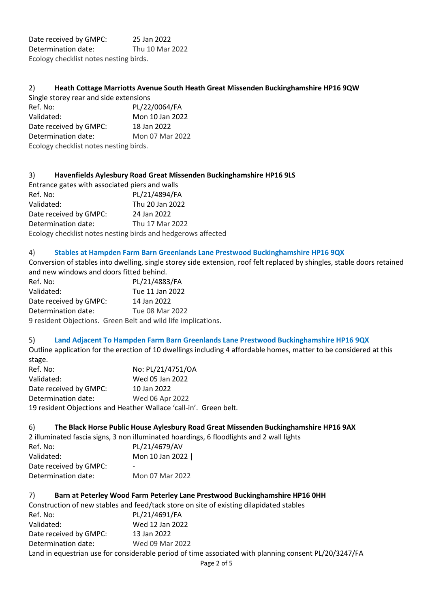Date received by GMPC: 25 Jan 2022 Determination date: Thu 10 Mar 2022 Ecology checklist notes nesting birds.

#### 2) **Heath Cottage Marriotts Avenue South Heath Great Missenden Buckinghamshire HP16 9QW**

| Single storey rear and side extensions |                 |
|----------------------------------------|-----------------|
| Ref. No:                               | PL/22/0064/FA   |
| Validated:                             | Mon 10 Jan 2022 |
| Date received by GMPC:                 | 18 Jan 2022     |
| Determination date:                    | Mon 07 Mar 2022 |
| Ecology checklist notes nesting birds. |                 |

#### 3) **Havenfields Aylesbury Road Great Missenden Buckinghamshire HP16 9LS**

Entrance gates with associated piers and walls Ref. No: PL/21/4894/FA Validated: Thu 20 Jan 2022 Date received by GMPC: 24 Jan 2022 Determination date: Thu 17 Mar 2022 Ecology checklist notes nesting birds and hedgerows affected

#### 4) **Stables at Hampden Farm Barn Greenlands Lane Prestwood Buckinghamshire HP16 9QX**

Conversion of stables into dwelling, single storey side extension, roof felt replaced by shingles, stable doors retained and new windows and doors fitted behind.

| Ref. No:                                                      | PL/21/4883/FA   |
|---------------------------------------------------------------|-----------------|
| Validated:                                                    | Tue 11 Jan 2022 |
| Date received by GMPC:                                        | 14 Jan 2022     |
| Determination date:                                           | Tue 08 Mar 2022 |
| 9 resident Objections. Green Belt and wild life implications. |                 |

#### 5) **Land Adjacent To Hampden Farm Barn Greenlands Lane Prestwood Buckinghamshire HP16 9QX**

Outline application for the erection of 10 dwellings including 4 affordable homes, matter to be considered at this

| stage.                                                            |                   |  |
|-------------------------------------------------------------------|-------------------|--|
| Ref. No:                                                          | No: PL/21/4751/OA |  |
| Validated:                                                        | Wed 05 Jan 2022   |  |
| Date received by GMPC:                                            | 10 Jan 2022       |  |
| Determination date:                                               | Wed 06 Apr 2022   |  |
| 19 resident Objections and Heather Wallace 'call-in'. Green belt. |                   |  |

#### 6) **The Black Horse Public House Aylesbury Road Great Missenden Buckinghamshire HP16 9AX**

2 illuminated fascia signs, 3 non illuminated hoardings, 6 floodlights and 2 wall lights

| Ref. No:               | PL/21/4679/AV   |
|------------------------|-----------------|
| Validated:             | Mon 10 Jan 2022 |
| Date received by GMPC: | -               |
| Determination date:    | Mon 07 Mar 2022 |
|                        |                 |

#### 7) **Barn at Peterley Wood Farm Peterley Lane Prestwood Buckinghamshire HP16 0HH**

|                        | Construction of new stables and feed/tack store on site of existing dilapidated stables               |
|------------------------|-------------------------------------------------------------------------------------------------------|
| Ref. No:               | PL/21/4691/FA                                                                                         |
| Validated:             | Wed 12 Jan 2022                                                                                       |
| Date received by GMPC: | 13 Jan 2022                                                                                           |
| Determination date:    | Wed 09 Mar 2022                                                                                       |
|                        | Land in equestrian use for considerable period of time associated with planning consent PL/20/3247/FA |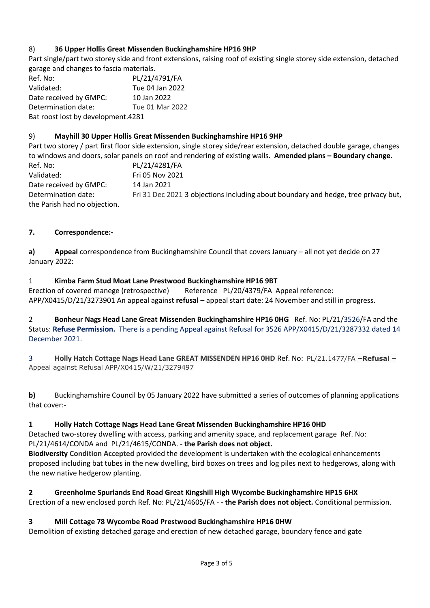## 8) **36 Upper Hollis Great Missenden Buckinghamshire HP16 9HP**

Part single/part two storey side and front extensions, raising roof of existing single storey side extension, detached garage and changes to fascia materials.

Ref. No: PL/21/4791/FA Validated: Tue 04 Jan 2022 Date received by GMPC: 10 Jan 2022 Determination date: Tue 01 Mar 2022 Bat roost lost by development.4281

## 9) **Mayhill 30 Upper Hollis Great Missenden Buckinghamshire HP16 9HP**

Part two storey / part first floor side extension, single storey side/rear extension, detached double garage, changes to windows and doors, solar panels on roof and rendering of existing walls. **Amended plans – Boundary change**. Ref. No: PL/21/4281/FA Validated: Fri 05 Nov 2021 Date received by GMPC: 14 Jan 2021 Determination date: Fri 31 Dec 2021 3 objections including about boundary and hedge, tree privacy but,

the Parish had no objection.

# **7. Correspondence:-**

**a) Appeal** correspondence from Buckinghamshire Council that covers January – all not yet decide on 27 January 2022:

### 1 **Kimba Farm Stud Moat Lane Prestwood Buckinghamshire HP16 9BT**

Erection of covered manege (retrospective) Reference PL/20/4379/FA Appeal reference: APP/X0415/D/21/3273901 An appeal against **refusal** – appeal start date: 24 November and still in progress.

2 **Bonheur Nags Head Lane Great Missenden Buckinghamshire HP16 0HG** Ref. No: PL/21/3526/FA and the Status: **Refuse Permission.** There is a pending Appeal against Refusal for 3526 APP/X0415/D/21/3287332 dated 14 December 2021.

3 **Holly Hatch Cottage Nags Head Lane GREAT MISSENDEN HP16 0HD** Ref. No: PL/21.1477/FA **–Refusal –** Appeal against Refusal APP/X0415/W/21/3279497

**b)** Buckinghamshire Council by 05 January 2022 have submitted a series of outcomes of planning applications that cover:-

### **1 Holly Hatch Cottage Nags Head Lane Great Missenden Buckinghamshire HP16 0HD**

Detached two-storey dwelling with access, parking and amenity space, and replacement garage Ref. No: PL/21/4614/CONDA and PL/21/4615/CONDA. **- the Parish does not object.**

**Biodiversity Condition Accepted** provided the development is undertaken with the ecological enhancements proposed including bat tubes in the new dwelling, bird boxes on trees and log piles next to hedgerows, along with the new native hedgerow planting.

### **2 Greenholme Spurlands End Road Great Kingshill High Wycombe Buckinghamshire HP15 6HX**

Erection of a new enclosed porch Ref. No: PL/21/4605/FA - **- the Parish does not object.** Conditional permission.

### **3 Mill Cottage 78 Wycombe Road Prestwood Buckinghamshire HP16 0HW**

Demolition of existing detached garage and erection of new detached garage, boundary fence and gate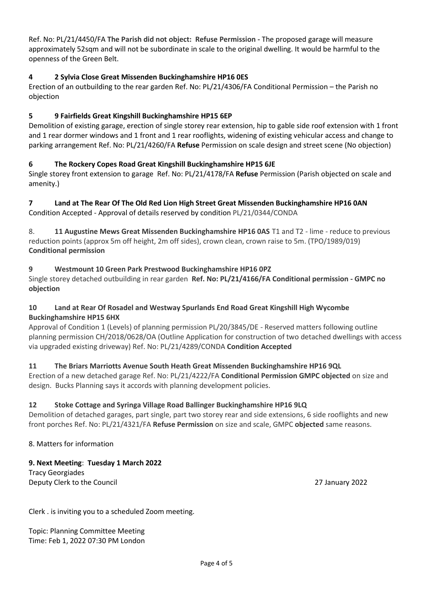Ref. No: PL/21/4450/FA **The Parish did not object: Refuse Permission -** The proposed garage will measure approximately 52sqm and will not be subordinate in scale to the original dwelling. It would be harmful to the openness of the Green Belt.

#### **4 2 Sylvia Close Great Missenden Buckinghamshire HP16 0ES**

Erection of an outbuilding to the rear garden Ref. No: PL/21/4306/FA Conditional Permission – the Parish no objection

### **5 9 Fairfields Great Kingshill Buckinghamshire HP15 6EP**

Demolition of existing garage, erection of single storey rear extension, hip to gable side roof extension with 1 front and 1 rear dormer windows and 1 front and 1 rear rooflights, widening of existing vehicular access and change to parking arrangement Ref. No: PL/21/4260/FA **Refuse** Permission on scale design and street scene (No objection)

#### **6 The Rockery Copes Road Great Kingshill Buckinghamshire HP15 6JE**

Single storey front extension to garage Ref. No: PL/21/4178/FA **Refuse** Permission (Parish objected on scale and amenity.)

# **7 Land at The Rear Of The Old Red Lion High Street Great Missenden Buckinghamshire HP16 0AN**

Condition Accepted - Approval of details reserved by condition PL/21/0344/CONDA

8. **11 Augustine Mews Great Missenden Buckinghamshire HP16 0AS** T1 and T2 - lime - reduce to previous reduction points (approx 5m off height, 2m off sides), crown clean, crown raise to 5m. (TPO/1989/019) **Conditional permission**

### **9 Westmount 10 Green Park Prestwood Buckinghamshire HP16 0PZ**

Single storey detached outbuilding in rear garden **Ref. No: PL/21/4166/FA Conditional permission - GMPC no objection**

#### **10 Land at Rear Of Rosadel and Westway Spurlands End Road Great Kingshill High Wycombe Buckinghamshire HP15 6HX**

Approval of Condition 1 (Levels) of planning permission PL/20/3845/DE - Reserved matters following outline planning permission CH/2018/0628/OA (Outline Application for construction of two detached dwellings with access via upgraded existing driveway) Ref. No: PL/21/4289/CONDA **Condition Accepted**

### **11 The Briars Marriotts Avenue South Heath Great Missenden Buckinghamshire HP16 9QL**

Erection of a new detached garage Ref. No: PL/21/4222/FA **Conditional Permission GMPC objected** on size and design. Bucks Planning says it accords with planning development policies.

### **12 Stoke Cottage and Syringa Village Road Ballinger Buckinghamshire HP16 9LQ**

Demolition of detached garages, part single, part two storey rear and side extensions, 6 side rooflights and new front porches Ref. No: PL/21/4321/FA **Refuse Permission** on size and scale, GMPC **objected** same reasons.

8. Matters for information

### **9. Next Meeting**: **Tuesday 1 March 2022**

Tracy Georgiades Deputy Clerk to the Council 27 January 2022

Clerk . is inviting you to a scheduled Zoom meeting.

Topic: Planning Committee Meeting Time: Feb 1, 2022 07:30 PM London